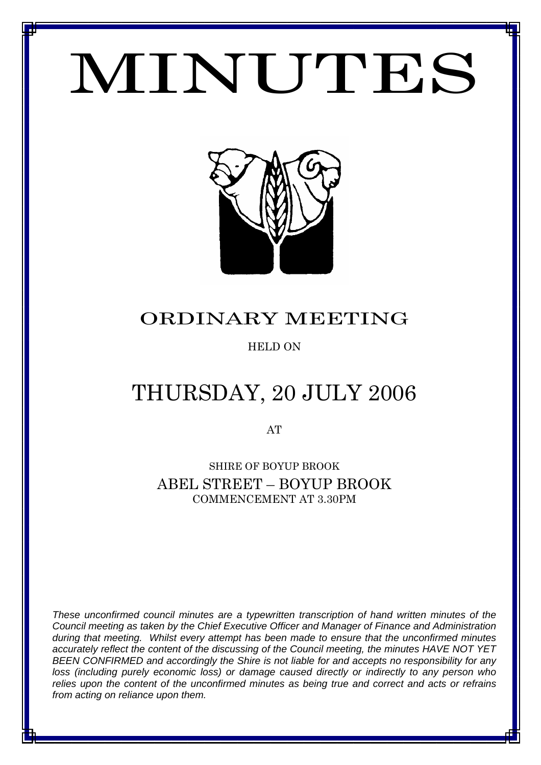# MINUTES

*MINUTES OF THE ORDINARY MEETING OF COUNCIL TO BE HELD ON THURSDAY 20 JULY 2006*



# ORDINARY MEETING

# HELD ON

# THURSDAY, 20 JULY 2006

AT

SHIRE OF BOYUP BROOK ABEL STREET – BOYUP BROOK COMMENCEMENT AT 3.30PM

*These unconfirmed council minutes are a typewritten transcription of hand written minutes of the Council meeting as taken by the Chief Executive Officer and Manager of Finance and Administration during that meeting. Whilst every attempt has been made to ensure that the unconfirmed minutes accurately reflect the content of the discussing of the Council meeting, the minutes HAVE NOT YET BEEN CONFIRMED and accordingly the Shire is not liable for and accepts no responsibility for any loss (including purely economic loss) or damage caused directly or indirectly to any person who relies upon the content of the unconfirmed minutes as being true and correct and acts or refrains from acting on reliance upon them.*

1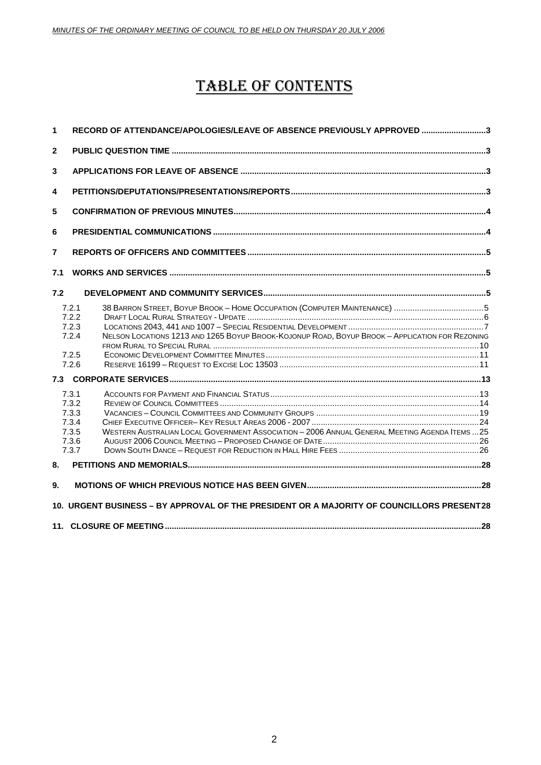# TABLE OF CONTENTS

| 1                                                                                         | RECORD OF ATTENDANCE/APOLOGIES/LEAVE OF ABSENCE PREVIOUSLY APPROVED 3                                                                                         |  |  |
|-------------------------------------------------------------------------------------------|---------------------------------------------------------------------------------------------------------------------------------------------------------------|--|--|
| $\mathbf{2}$                                                                              |                                                                                                                                                               |  |  |
| 3                                                                                         |                                                                                                                                                               |  |  |
| 4                                                                                         |                                                                                                                                                               |  |  |
| 5                                                                                         |                                                                                                                                                               |  |  |
| 6                                                                                         |                                                                                                                                                               |  |  |
| $\overline{7}$                                                                            |                                                                                                                                                               |  |  |
| 7.1                                                                                       |                                                                                                                                                               |  |  |
| 7.2                                                                                       |                                                                                                                                                               |  |  |
|                                                                                           | 7.2.1<br>7.2.2<br>7.2.3<br>NELSON LOCATIONS 1213 AND 1265 BOYUP BROOK-KOJONUP ROAD, BOYUP BROOK - APPLICATION FOR REZONING<br>7.2.4<br>7.2.5<br>7.2.6         |  |  |
|                                                                                           |                                                                                                                                                               |  |  |
|                                                                                           | 7.3.1<br>7.3.2<br>7.3.3<br>7.3.4<br>WESTERN AUSTRALIAN LOCAL GOVERNMENT ASSOCIATION - 2006 ANNUAL GENERAL MEETING AGENDA ITEMS  25<br>7.3.5<br>7.3.6<br>7.3.7 |  |  |
| 8.                                                                                        |                                                                                                                                                               |  |  |
| 9.                                                                                        |                                                                                                                                                               |  |  |
| 10. URGENT BUSINESS - BY APPROVAL OF THE PRESIDENT OR A MAJORITY OF COUNCILLORS PRESENT28 |                                                                                                                                                               |  |  |
|                                                                                           |                                                                                                                                                               |  |  |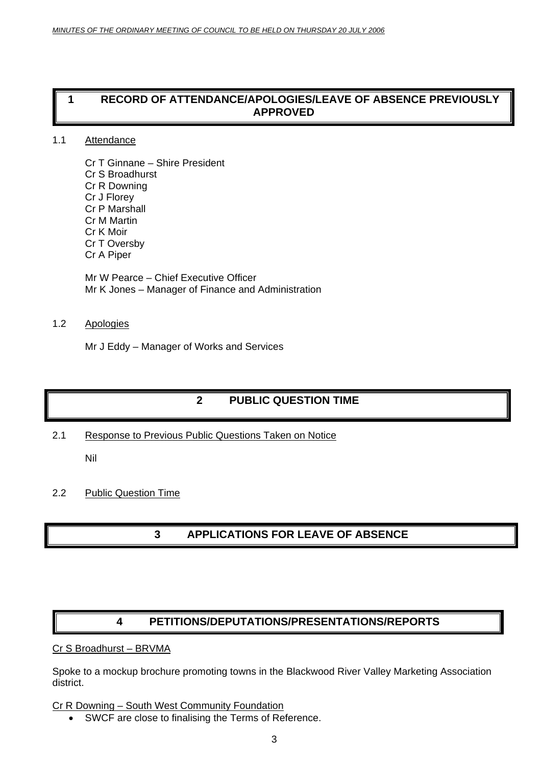# <span id="page-2-0"></span>**1 RECORD OF ATTENDANCE/APOLOGIES/LEAVE OF ABSENCE PREVIOUSLY APPROVED**

# 1.1 Attendance

Cr T Ginnane – Shire President Cr S Broadhurst Cr R Downing Cr J Florey Cr P Marshall Cr M Martin Cr K Moir Cr T Oversby Cr A Piper

Mr W Pearce – Chief Executive Officer Mr K Jones – Manager of Finance and Administration

# 1.2 Apologies

Mr J Eddy – Manager of Works and Services

# **2 PUBLIC QUESTION TIME**

2.1 Response to Previous Public Questions Taken on Notice

Nil

# 2.2 Public Question Time

# **3 APPLICATIONS FOR LEAVE OF ABSENCE**

# **4 PETITIONS/DEPUTATIONS/PRESENTATIONS/REPORTS**

# Cr S Broadhurst – BRVMA

Spoke to a mockup brochure promoting towns in the Blackwood River Valley Marketing Association district.

# Cr R Downing – South West Community Foundation

• SWCF are close to finalising the Terms of Reference.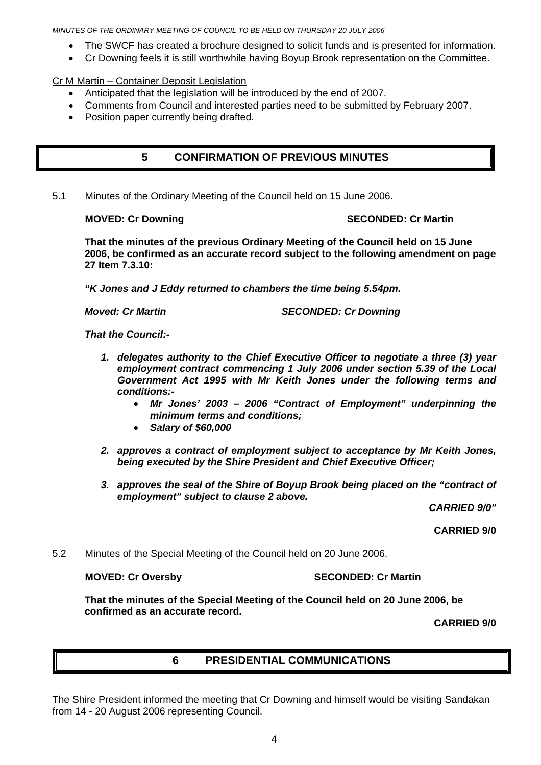### <span id="page-3-0"></span>*MINUTES OF THE ORDINARY MEETING OF COUNCIL TO BE HELD ON THURSDAY 20 JULY 2006*

- The SWCF has created a brochure designed to solicit funds and is presented for information.
- Cr Downing feels it is still worthwhile having Boyup Brook representation on the Committee.

Cr M Martin – Container Deposit Legislation

- Anticipated that the legislation will be introduced by the end of 2007.
- Comments from Council and interested parties need to be submitted by February 2007.
- Position paper currently being drafted.

# **5 CONFIRMATION OF PREVIOUS MINUTES**

5.1 Minutes of the Ordinary Meeting of the Council held on 15 June 2006.

# **MOVED: Cr Downing Case Conducts Account SECONDED: Cr Martin**

**That the minutes of the previous Ordinary Meeting of the Council held on 15 June 2006, be confirmed as an accurate record subject to the following amendment on page 27 Item 7.3.10:** 

*"K Jones and J Eddy returned to chambers the time being 5.54pm.* 

*Moved: Cr Martin* Moved: Cr Downing **SECONDED: Cr Downing** 

*That the Council:-* 

- *1. delegates authority to the Chief Executive Officer to negotiate a three (3) year employment contract commencing 1 July 2006 under section 5.39 of the Local Government Act 1995 with Mr Keith Jones under the following terms and conditions:-* 
	- *Mr Jones' 2003 2006 "Contract of Employment" underpinning the minimum terms and conditions;*
	- *Salary of \$60,000*
- *2. approves a contract of employment subject to acceptance by Mr Keith Jones, being executed by the Shire President and Chief Executive Officer;*
- *3. approves the seal of the Shire of Boyup Brook being placed on the "contract of employment" subject to clause 2 above.*

*CARRIED 9/0"* 

**CARRIED 9/0** 

5.2 Minutes of the Special Meeting of the Council held on 20 June 2006.

# **MOVED: Cr Oversby SECONDED: Cr Martin**

**That the minutes of the Special Meeting of the Council held on 20 June 2006, be confirmed as an accurate record.**

**CARRIED 9/0** 

# **6 PRESIDENTIAL COMMUNICATIONS**

The Shire President informed the meeting that Cr Downing and himself would be visiting Sandakan from 14 - 20 August 2006 representing Council.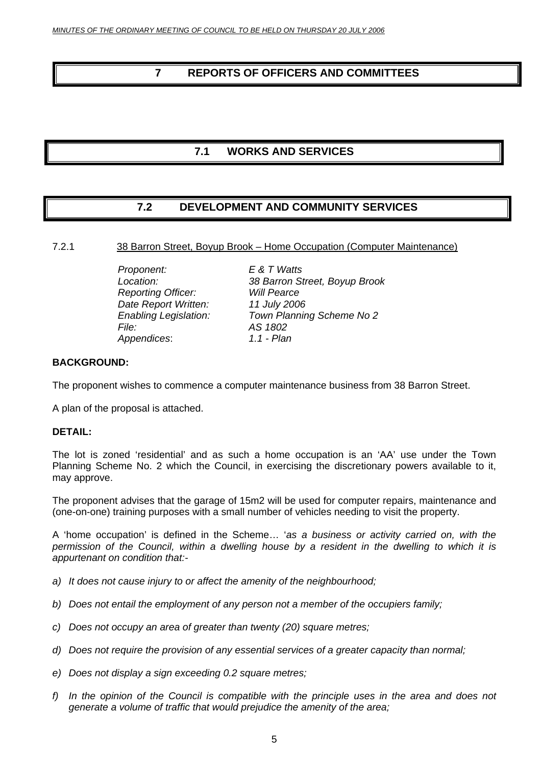# <span id="page-4-0"></span>**7 REPORTS OF OFFICERS AND COMMITTEES**

# **7.1 WORKS AND SERVICES**

# **7.2 DEVELOPMENT AND COMMUNITY SERVICES**

# 7.2.1 38 Barron Street, Boyup Brook – Home Occupation (Computer Maintenance)

 *Proponent: E & T Watts Reporting Officer: Will Pearce Date Report Written: 11 July 2006 File: AS 1802*   $A$ *ppendices*:

 *Location: 38 Barron Street, Boyup Brook Enabling Legislation: Town Planning Scheme No 2* 

# **BACKGROUND:**

The proponent wishes to commence a computer maintenance business from 38 Barron Street.

A plan of the proposal is attached.

# **DETAIL:**

The lot is zoned 'residential' and as such a home occupation is an 'AA' use under the Town Planning Scheme No. 2 which the Council, in exercising the discretionary powers available to it, may approve.

The proponent advises that the garage of 15m2 will be used for computer repairs, maintenance and (one-on-one) training purposes with a small number of vehicles needing to visit the property.

A 'home occupation' is defined in the Scheme… '*as a business or activity carried on, with the* permission of the Council, within a dwelling house by a resident in the dwelling to which it is *appurtenant on condition that:-* 

- *a) It does not cause injury to or affect the amenity of the neighbourhood;*
- *b) Does not entail the employment of any person not a member of the occupiers family;*
- *c) Does not occupy an area of greater than twenty (20) square metres;*
- *d) Does not require the provision of any essential services of a greater capacity than normal;*
- *e) Does not display a sign exceeding 0.2 square metres;*
- *f) In the opinion of the Council is compatible with the principle uses in the area and does not generate a volume of traffic that would prejudice the amenity of the area;*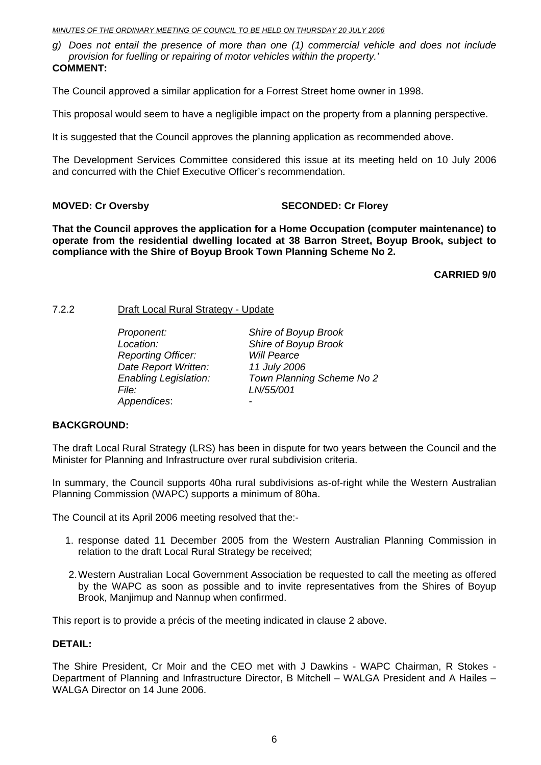### <span id="page-5-0"></span>*MINUTES OF THE ORDINARY MEETING OF COUNCIL TO BE HELD ON THURSDAY 20 JULY 2006*

*g) Does not entail the presence of more than one (1) commercial vehicle and does not include provision for fuelling or repairing of motor vehicles within the property.'* **COMMENT:**

The Council approved a similar application for a Forrest Street home owner in 1998.

This proposal would seem to have a negligible impact on the property from a planning perspective.

It is suggested that the Council approves the planning application as recommended above.

The Development Services Committee considered this issue at its meeting held on 10 July 2006 and concurred with the Chief Executive Officer's recommendation.

# **MOVED: Cr Oversby SECONDED: Cr Florey**

**That the Council approves the application for a Home Occupation (computer maintenance) to operate from the residential dwelling located at 38 Barron Street, Boyup Brook, subject to compliance with the Shire of Boyup Brook Town Planning Scheme No 2.** 

**CARRIED 9/0** 

# 7.2.2 Draft Local Rural Strategy - Update

 *Proponent: Shire of Boyup Brook Location: Shire of Boyup Brook Reporting Officer: Will Pearce Date Report Written: 11 July 2006 Enabling Legislation: Town Planning Scheme No 2 File: LN/55/001 Appendices*: *-* 

# **BACKGROUND:**

The draft Local Rural Strategy (LRS) has been in dispute for two years between the Council and the Minister for Planning and Infrastructure over rural subdivision criteria.

In summary, the Council supports 40ha rural subdivisions as-of-right while the Western Australian Planning Commission (WAPC) supports a minimum of 80ha.

The Council at its April 2006 meeting resolved that the:-

- 1. response dated 11 December 2005 from the Western Australian Planning Commission in relation to the draft Local Rural Strategy be received;
- 2. Western Australian Local Government Association be requested to call the meeting as offered by the WAPC as soon as possible and to invite representatives from the Shires of Boyup Brook, Manjimup and Nannup when confirmed.

This report is to provide a précis of the meeting indicated in clause 2 above.

# **DETAIL:**

The Shire President, Cr Moir and the CEO met with J Dawkins - WAPC Chairman, R Stokes - Department of Planning and Infrastructure Director, B Mitchell – WALGA President and A Hailes – WALGA Director on 14 June 2006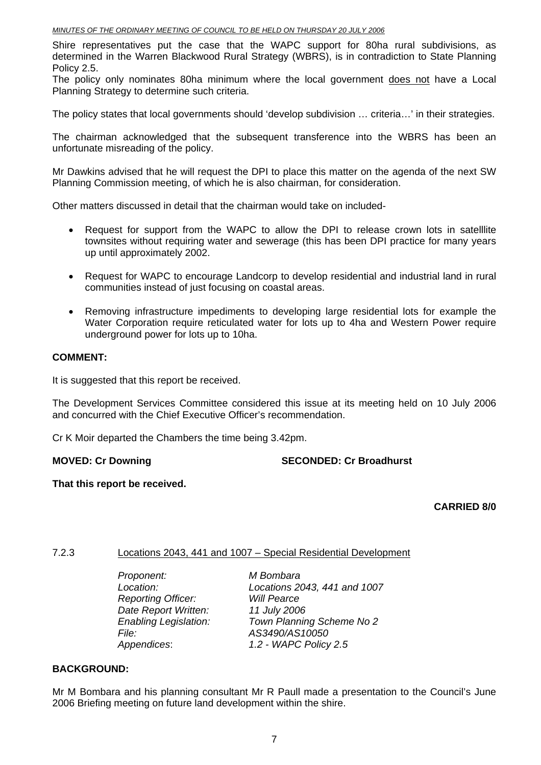<span id="page-6-0"></span>Shire representatives put the case that the WAPC support for 80ha rural subdivisions, as determined in the Warren Blackwood Rural Strategy (WBRS), is in contradiction to State Planning Policy 2.5.

The policy only nominates 80ha minimum where the local government does not have a Local Planning Strategy to determine such criteria.

The policy states that local governments should 'develop subdivision … criteria…' in their strategies.

The chairman acknowledged that the subsequent transference into the WBRS has been an unfortunate misreading of the policy.

Mr Dawkins advised that he will request the DPI to place this matter on the agenda of the next SW Planning Commission meeting, of which he is also chairman, for consideration.

Other matters discussed in detail that the chairman would take on included-

- Request for support from the WAPC to allow the DPI to release crown lots in satelllite townsites without requiring water and sewerage (this has been DPI practice for many years up until approximately 2002.
- Request for WAPC to encourage Landcorp to develop residential and industrial land in rural communities instead of just focusing on coastal areas.
- Removing infrastructure impediments to developing large residential lots for example the Water Corporation require reticulated water for lots up to 4ha and Western Power require underground power for lots up to 10ha.

# **COMMENT:**

It is suggested that this report be received.

The Development Services Committee considered this issue at its meeting held on 10 July 2006 and concurred with the Chief Executive Officer's recommendation.

Cr K Moir departed the Chambers the time being 3.42pm.

**MOVED: Cr Downing The SECONDED: Cr Broadhurst** 

# **That this report be received.**

# **CARRIED 8/0**

# 7.2.3 Locations 2043, 441 and 1007 – Special Residential Development

 *Proponent: M Bombara Reporting Officer: Will Pearce Date Report Written: 11 July 2006 File: AS3490/AS10050* 

 *Location: Locations 2043, 441 and 1007 Enabling Legislation: Town Planning Scheme No 2 Appendices*: *1.2 - WAPC Policy 2.5* 

# **BACKGROUND:**

Mr M Bombara and his planning consultant Mr R Paull made a presentation to the Council's June 2006 Briefing meeting on future land development within the shire.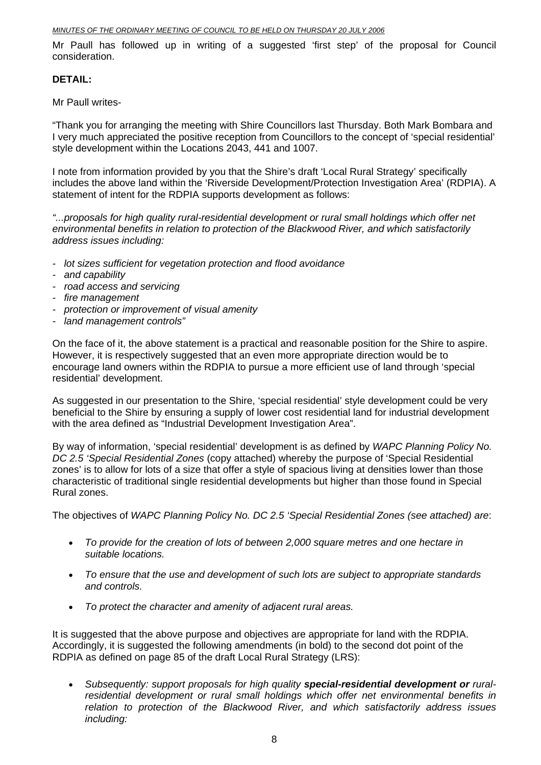### *MINUTES OF THE ORDINARY MEETING OF COUNCIL TO BE HELD ON THURSDAY 20 JULY 2006*

Mr Paull has followed up in writing of a suggested 'first step' of the proposal for Council consideration.

# **DETAIL:**

Mr Paull writes-

"Thank you for arranging the meeting with Shire Councillors last Thursday. Both Mark Bombara and I very much appreciated the positive reception from Councillors to the concept of 'special residential' style development within the Locations 2043, 441 and 1007.

I note from information provided by you that the Shire's draft 'Local Rural Strategy' specifically includes the above land within the 'Riverside Development/Protection Investigation Area' (RDPIA). A statement of intent for the RDPIA supports development as follows:

*"...proposals for high quality rural-residential development or rural small holdings which offer net environmental benefits in relation to protection of the Blackwood River, and which satisfactorily address issues including:* 

- *lot sizes sufficient for vegetation protection and flood avoidance*
- *and capability*
- *road access and servicing*
- *fire management*
- *protection or improvement of visual amenity*
- *land management controls"*

On the face of it, the above statement is a practical and reasonable position for the Shire to aspire. However, it is respectively suggested that an even more appropriate direction would be to encourage land owners within the RDPIA to pursue a more efficient use of land through 'special residential' development.

As suggested in our presentation to the Shire, 'special residential' style development could be very beneficial to the Shire by ensuring a supply of lower cost residential land for industrial development with the area defined as "Industrial Development Investigation Area".

By way of information, 'special residential' development is as defined by *WAPC Planning Policy No. DC 2.5 'Special Residential Zones* (copy attached) whereby the purpose of 'Special Residential zones' is to allow for lots of a size that offer a style of spacious living at densities lower than those characteristic of traditional single residential developments but higher than those found in Special Rural zones.

The objectives of *WAPC Planning Policy No. DC 2.5 'Special Residential Zones (see attached) are*:

- *To provide for the creation of lots of between 2,000 square metres and one hectare in suitable locations.*
- *To ensure that the use and development of such lots are subject to appropriate standards and controls.*
- *To protect the character and amenity of adjacent rural areas.*

It is suggested that the above purpose and objectives are appropriate for land with the RDPIA. Accordingly, it is suggested the following amendments (in bold) to the second dot point of the RDPIA as defined on page 85 of the draft Local Rural Strategy (LRS):

• *Subsequently: support proposals for high quality special-residential development or ruralresidential development or rural small holdings which offer net environmental benefits in relation to protection of the Blackwood River, and which satisfactorily address issues including:*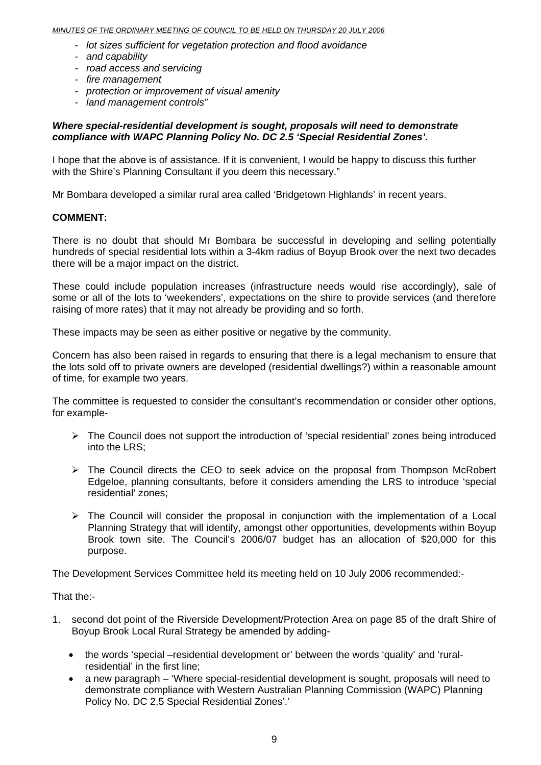- *lot sizes sufficient for vegetation protection and flood avoidance*
- *and capability*
- *road access and servicing*
- *fire management*
- *protection or improvement of visual amenity*
- *land management controls"*

# *Where special-residential development is sought, proposals will need to demonstrate compliance with WAPC Planning Policy No. DC 2.5 'Special Residential Zones'.*

I hope that the above is of assistance. If it is convenient, I would be happy to discuss this further with the Shire's Planning Consultant if you deem this necessary."

Mr Bombara developed a similar rural area called 'Bridgetown Highlands' in recent years.

# **COMMENT:**

There is no doubt that should Mr Bombara be successful in developing and selling potentially hundreds of special residential lots within a 3-4km radius of Boyup Brook over the next two decades there will be a major impact on the district.

These could include population increases (infrastructure needs would rise accordingly), sale of some or all of the lots to 'weekenders', expectations on the shire to provide services (and therefore raising of more rates) that it may not already be providing and so forth.

These impacts may be seen as either positive or negative by the community.

Concern has also been raised in regards to ensuring that there is a legal mechanism to ensure that the lots sold off to private owners are developed (residential dwellings?) within a reasonable amount of time, for example two years.

The committee is requested to consider the consultant's recommendation or consider other options, for example-

- $\triangleright$  The Council does not support the introduction of 'special residential' zones being introduced into the LRS;
- $\triangleright$  The Council directs the CEO to seek advice on the proposal from Thompson McRobert Edgeloe, planning consultants, before it considers amending the LRS to introduce 'special residential' zones;
- $\triangleright$  The Council will consider the proposal in conjunction with the implementation of a Local Planning Strategy that will identify, amongst other opportunities, developments within Boyup Brook town site. The Council's 2006/07 budget has an allocation of \$20,000 for this purpose.

The Development Services Committee held its meeting held on 10 July 2006 recommended:-

That the:-

- 1. second dot point of the Riverside Development/Protection Area on page 85 of the draft Shire of Boyup Brook Local Rural Strategy be amended by adding-
	- the words 'special –residential development or' between the words 'quality' and 'ruralresidential' in the first line;
	- a new paragraph 'Where special-residential development is sought, proposals will need to demonstrate compliance with Western Australian Planning Commission (WAPC) Planning Policy No. DC 2.5 Special Residential Zones'.'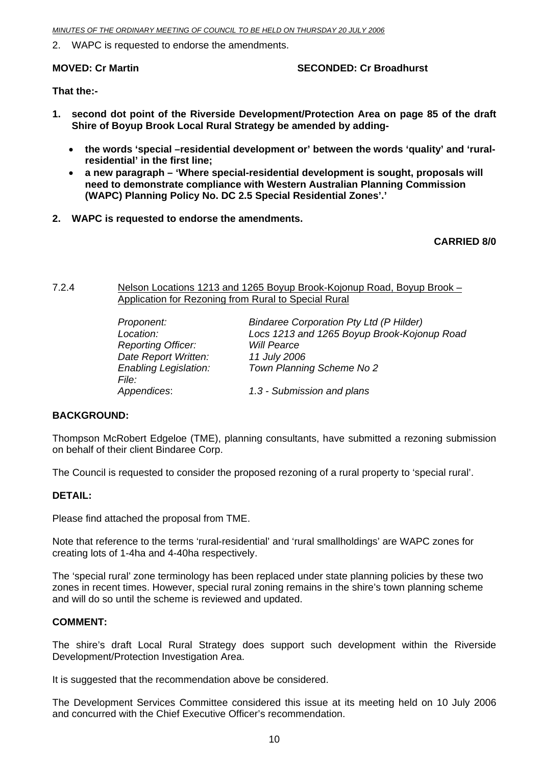<span id="page-9-0"></span>2. WAPC is requested to endorse the amendments.

# **MOVED: Cr Martin SECONDED: Cr Broadhurst**

**That the:-** 

- **1. second dot point of the Riverside Development/Protection Area on page 85 of the draft Shire of Boyup Brook Local Rural Strategy be amended by adding-** 
	- **the words 'special –residential development or' between the words 'quality' and 'ruralresidential' in the first line;**
	- **a new paragraph 'Where special-residential development is sought, proposals will need to demonstrate compliance with Western Australian Planning Commission (WAPC) Planning Policy No. DC 2.5 Special Residential Zones'.'**
- **2. WAPC is requested to endorse the amendments.**

# **CARRIED 8/0**

7.2.4 Nelson Locations 1213 and 1265 Boyup Brook-Kojonup Road, Boyup Brook – Application for Rezoning from Rural to Special Rural

| Proponent:                   | <b>Bindaree Corporation Pty Ltd (P Hilder)</b> |
|------------------------------|------------------------------------------------|
| Location:                    | Locs 1213 and 1265 Boyup Brook-Kojonup Road    |
| <b>Reporting Officer:</b>    | <b>Will Pearce</b>                             |
| Date Report Written:         | 11 July 2006                                   |
| <b>Enabling Legislation:</b> | Town Planning Scheme No 2                      |
| <i>File:</i>                 |                                                |
| Appendices:                  | 1.3 - Submission and plans                     |

# **BACKGROUND:**

Thompson McRobert Edgeloe (TME), planning consultants, have submitted a rezoning submission on behalf of their client Bindaree Corp.

The Council is requested to consider the proposed rezoning of a rural property to 'special rural'.

# **DETAIL:**

Please find attached the proposal from TME.

Note that reference to the terms 'rural-residential' and 'rural smallholdings' are WAPC zones for creating lots of 1-4ha and 4-40ha respectively.

The 'special rural' zone terminology has been replaced under state planning policies by these two zones in recent times. However, special rural zoning remains in the shire's town planning scheme and will do so until the scheme is reviewed and updated.

# **COMMENT:**

The shire's draft Local Rural Strategy does support such development within the Riverside Development/Protection Investigation Area.

It is suggested that the recommendation above be considered.

The Development Services Committee considered this issue at its meeting held on 10 July 2006 and concurred with the Chief Executive Officer's recommendation.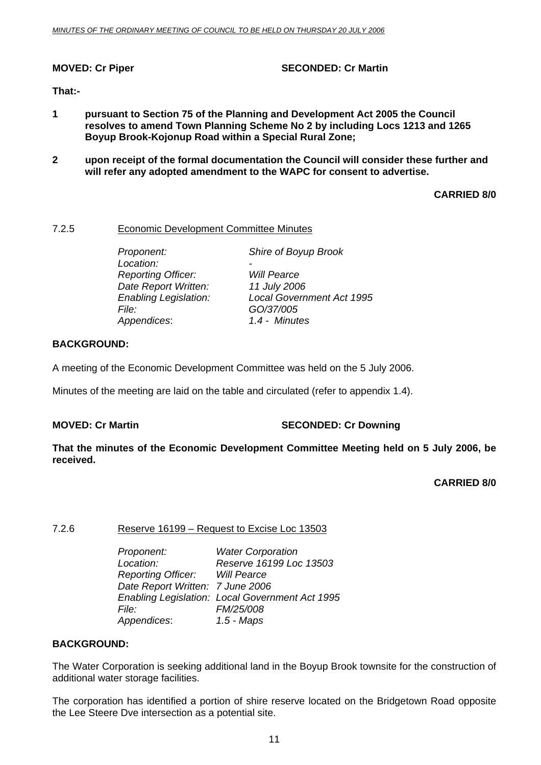# <span id="page-10-0"></span>**MOVED: Cr Piper SECONDED: Cr Martin**

# **That:-**

- **1 pursuant to Section 75 of the Planning and Development Act 2005 the Council resolves to amend Town Planning Scheme No 2 by including Locs 1213 and 1265 Boyup Brook-Kojonup Road within a Special Rural Zone;**
- **2 upon receipt of the formal documentation the Council will consider these further and will refer any adopted amendment to the WAPC for consent to advertise.**

# **CARRIED 8/0**

# 7.2.5 Economic Development Committee Minutes

Location:  *Reporting Officer: Will Pearce Date Report Written: 11 July 2006 File: GO/37/005 Appendices*: *1.4 - Minutes*

*Proponent: Shire of Boyup Brook* 

*Enabling Legislation: Local Government Act 1995* 

# **BACKGROUND:**

A meeting of the Economic Development Committee was held on the 5 July 2006.

Minutes of the meeting are laid on the table and circulated (refer to appendix 1.4).

# **MOVED: Cr Martin SECONDED: Cr Downing**

**That the minutes of the Economic Development Committee Meeting held on 5 July 2006, be received.** 

**CARRIED 8/0** 

# 7.2.6 Reserve 16199 – Request to Excise Loc 13503

 *Proponent: Water Corporation Location: Reserve 16199 Loc 13503*   $Reporting$  Officer: *Date Report Written: 7 June 2006 Enabling Legislation: Local Government Act 1995 File: FM/25/008 Appendices*: *1.5 - Maps*

# **BACKGROUND:**

The Water Corporation is seeking additional land in the Boyup Brook townsite for the construction of additional water storage facilities.

The corporation has identified a portion of shire reserve located on the Bridgetown Road opposite the Lee Steere Dve intersection as a potential site.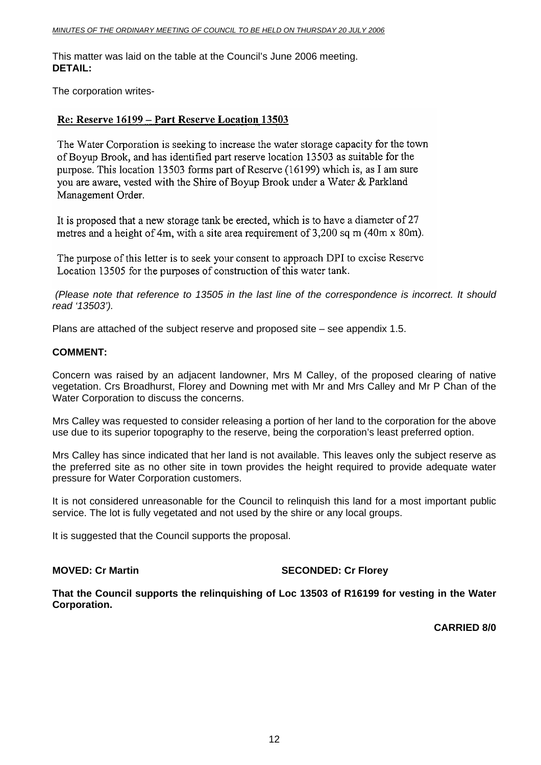This matter was laid on the table at the Council's June 2006 meeting. **DETAIL:** 

The corporation writes-

# Re: Reserve 16199 – Part Reserve Location 13503

The Water Corporation is seeking to increase the water storage capacity for the town of Boyup Brook, and has identified part reserve location 13503 as suitable for the purpose. This location 13503 forms part of Reserve (16199) which is, as I am sure you are aware, vested with the Shire of Boyup Brook under a Water & Parkland Management Order.

It is proposed that a new storage tank be erected, which is to have a diameter of 27 metres and a height of 4m, with a site area requirement of 3,200 sq m (40m x 80m).

The purpose of this letter is to seek your consent to approach DPI to excise Reserve Location 13505 for the purposes of construction of this water tank.

*(Please note that reference to 13505 in the last line of the correspondence is incorrect. It should read '13503').* 

Plans are attached of the subject reserve and proposed site – see appendix 1.5.

# **COMMENT:**

Concern was raised by an adjacent landowner, Mrs M Calley, of the proposed clearing of native vegetation. Crs Broadhurst, Florey and Downing met with Mr and Mrs Calley and Mr P Chan of the Water Corporation to discuss the concerns.

Mrs Calley was requested to consider releasing a portion of her land to the corporation for the above use due to its superior topography to the reserve, being the corporation's least preferred option.

Mrs Calley has since indicated that her land is not available. This leaves only the subject reserve as the preferred site as no other site in town provides the height required to provide adequate water pressure for Water Corporation customers.

It is not considered unreasonable for the Council to relinquish this land for a most important public service. The lot is fully vegetated and not used by the shire or any local groups.

It is suggested that the Council supports the proposal.

# **MOVED: Cr Martin SECONDED: Cr Florey**

**That the Council supports the relinquishing of Loc 13503 of R16199 for vesting in the Water Corporation.** 

**CARRIED 8/0**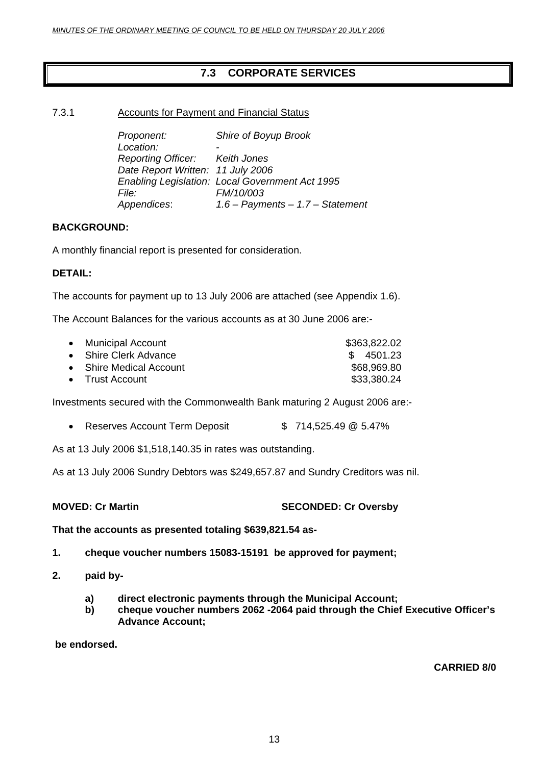# **7.3 CORPORATE SERVICES**

# <span id="page-12-0"></span>7.3.1 Accounts for Payment and Financial Status

| Proponent:                        | Shire of Boyup Brook                            |
|-----------------------------------|-------------------------------------------------|
| Location:                         |                                                 |
| Reporting Officer: Keith Jones    |                                                 |
| Date Report Written: 11 July 2006 |                                                 |
|                                   | Enabling Legislation: Local Government Act 1995 |
| <i>File:</i>                      | FM/10/003                                       |
| Appendices:                       | $1.6$ – Payments – 1.7 – Statement              |

# **BACKGROUND:**

A monthly financial report is presented for consideration.

# **DETAIL:**

The accounts for payment up to 13 July 2006 are attached (see Appendix 1.6).

The Account Balances for the various accounts as at 30 June 2006 are:-

| • Municipal Account     | \$363,822.02 |
|-------------------------|--------------|
| • Shire Clerk Advance   | \$4501.23    |
| • Shire Medical Account | \$68,969.80  |
| • Trust Account         | \$33,380.24  |

Investments secured with the Commonwealth Bank maturing 2 August 2006 are:-

• Reserves Account Term Deposit  $$714,525.49 \text{ @ } 5.47\%$ 

As at 13 July 2006 \$1,518,140.35 in rates was outstanding.

As at 13 July 2006 Sundry Debtors was \$249,657.87 and Sundry Creditors was nil.

**MOVED: Cr Martin SECONDED: Cr Oversby** 

**That the accounts as presented totaling \$639,821.54 as-**

- **1. cheque voucher numbers 15083-15191 be approved for payment;**
- **2. paid by**
	- **a) direct electronic payments through the Municipal Account;**
	- **b) cheque voucher numbers 2062 -2064 paid through the Chief Executive Officer's Advance Account;**

 **be endorsed.** 

**CARRIED 8/0**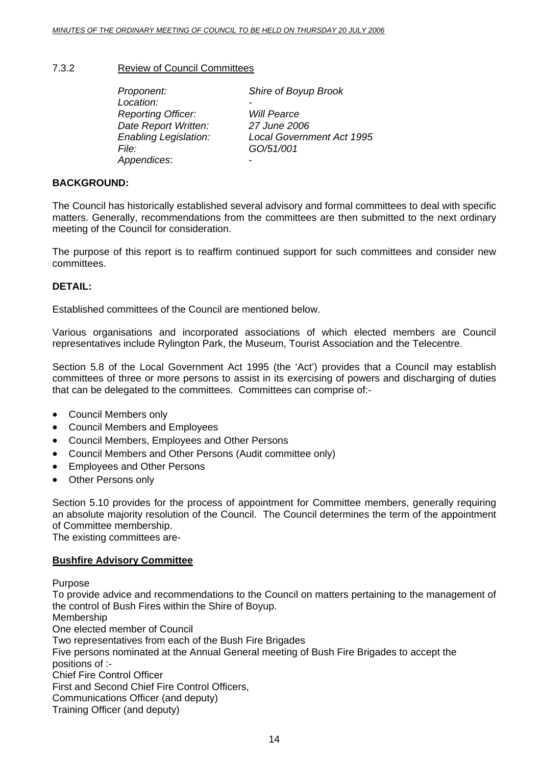# <span id="page-13-0"></span>7.3.2 Review of Council Committees

 *Proponent: Shire of Boyup Brook*  Location:  *Reporting Officer: Will Pearce Date Report Written: 27 June 2006 File: GO/51/001 Appendices*: -

*Enabling Legislation: Local Government Act 1995* 

# **BACKGROUND:**

The Council has historically established several advisory and formal committees to deal with specific matters. Generally, recommendations from the committees are then submitted to the next ordinary meeting of the Council for consideration.

The purpose of this report is to reaffirm continued support for such committees and consider new committees.

# **DETAIL:**

Established committees of the Council are mentioned below.

Various organisations and incorporated associations of which elected members are Council representatives include Rylington Park, the Museum, Tourist Association and the Telecentre.

Section 5.8 of the Local Government Act 1995 (the 'Act') provides that a Council may establish committees of three or more persons to assist in its exercising of powers and discharging of duties that can be delegated to the committees. Committees can comprise of:-

- Council Members only
- Council Members and Employees
- Council Members, Employees and Other Persons
- Council Members and Other Persons (Audit committee only)
- Employees and Other Persons
- Other Persons only

Section 5.10 provides for the process of appointment for Committee members, generally requiring an absolute majority resolution of the Council. The Council determines the term of the appointment of Committee membership.

The existing committees are-

# **Bushfire Advisory Committee**

Purpose

To provide advice and recommendations to the Council on matters pertaining to the management of the control of Bush Fires within the Shire of Boyup.

Membership

One elected member of Council

Two representatives from each of the Bush Fire Brigades

Five persons nominated at the Annual General meeting of Bush Fire Brigades to accept the positions of :-

Chief Fire Control Officer

First and Second Chief Fire Control Officers,

Communications Officer (and deputy)

Training Officer (and deputy)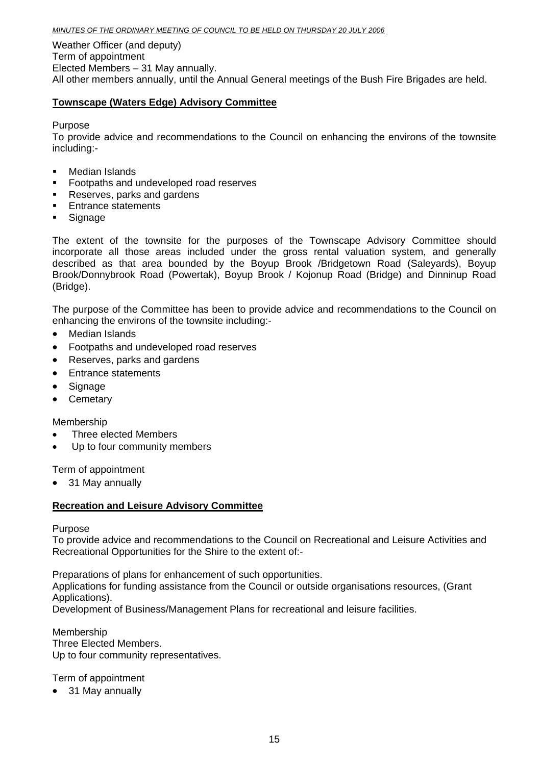Weather Officer (and deputy) Term of appointment Elected Members – 31 May annually. All other members annually, until the Annual General meetings of the Bush Fire Brigades are held.

# **Townscape (Waters Edge) Advisory Committee**

Purpose

To provide advice and recommendations to the Council on enhancing the environs of the townsite including:-

- Median Islands
- **Footpaths and undeveloped road reserves**
- Reserves, parks and gardens
- **Entrance statements**
- **Signage**

The extent of the townsite for the purposes of the Townscape Advisory Committee should incorporate all those areas included under the gross rental valuation system, and generally described as that area bounded by the Boyup Brook /Bridgetown Road (Saleyards), Boyup Brook/Donnybrook Road (Powertak), Boyup Brook / Kojonup Road (Bridge) and Dinninup Road (Bridge).

The purpose of the Committee has been to provide advice and recommendations to the Council on enhancing the environs of the townsite including:-

- Median Islands
- Footpaths and undeveloped road reserves
- Reserves, parks and gardens
- Entrance statements
- Signage
- Cemetary

Membership

- Three elected Members
- Up to four community members

Term of appointment

• 31 May annually

# **Recreation and Leisure Advisory Committee**

Purpose

To provide advice and recommendations to the Council on Recreational and Leisure Activities and Recreational Opportunities for the Shire to the extent of:-

Preparations of plans for enhancement of such opportunities. Applications for funding assistance from the Council or outside organisations resources, (Grant Applications). Development of Business/Management Plans for recreational and leisure facilities.

Membership Three Elected Members. Up to four community representatives.

Term of appointment

• 31 May annually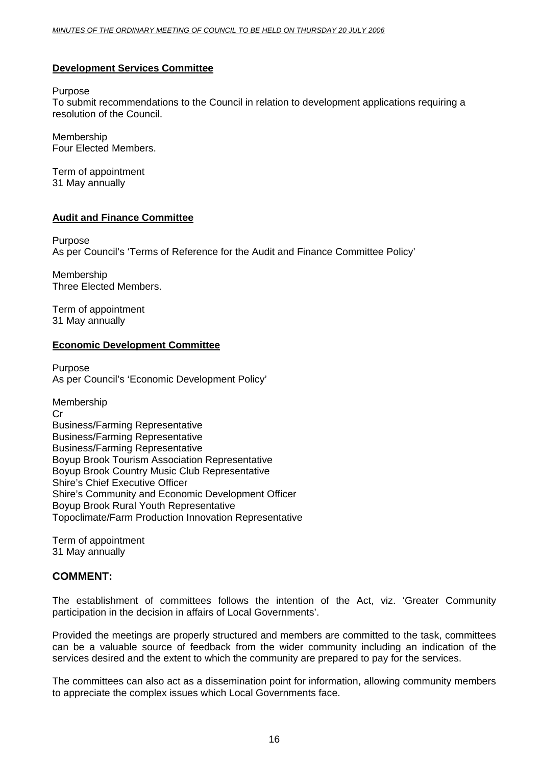# **Development Services Committee**

### Purpose

To submit recommendations to the Council in relation to development applications requiring a resolution of the Council.

Membership Four Elected Members.

Term of appointment 31 May annually

# **Audit and Finance Committee**

Purpose As per Council's 'Terms of Reference for the Audit and Finance Committee Policy'

Membership Three Elected Members.

Term of appointment 31 May annually

# **Economic Development Committee**

Purpose As per Council's 'Economic Development Policy'

Membership Cr Business/Farming Representative Business/Farming Representative Business/Farming Representative Boyup Brook Tourism Association Representative Boyup Brook Country Music Club Representative Shire's Chief Executive Officer Shire's Community and Economic Development Officer Boyup Brook Rural Youth Representative Topoclimate/Farm Production Innovation Representative

Term of appointment 31 May annually

# **COMMENT:**

The establishment of committees follows the intention of the Act, viz. 'Greater Community participation in the decision in affairs of Local Governments'.

Provided the meetings are properly structured and members are committed to the task, committees can be a valuable source of feedback from the wider community including an indication of the services desired and the extent to which the community are prepared to pay for the services.

The committees can also act as a dissemination point for information, allowing community members to appreciate the complex issues which Local Governments face.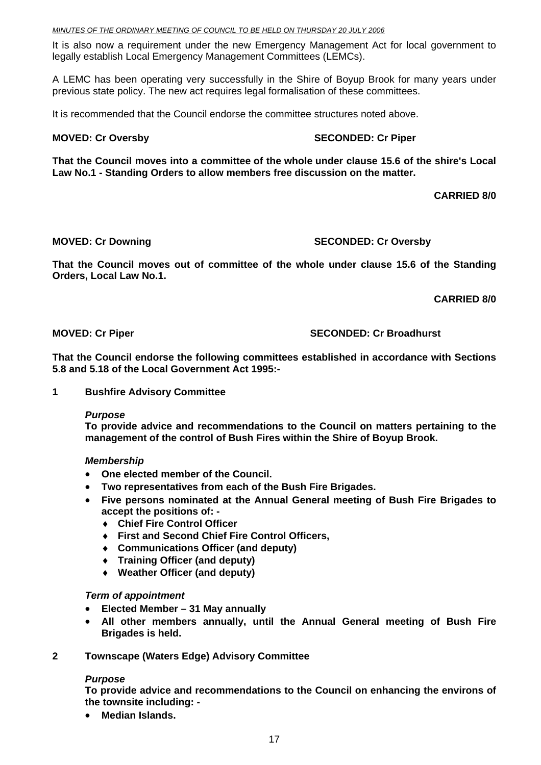It is also now a requirement under the new Emergency Management Act for local government to legally establish Local Emergency Management Committees (LEMCs).

A LEMC has been operating very successfully in the Shire of Boyup Brook for many years under previous state policy. The new act requires legal formalisation of these committees.

It is recommended that the Council endorse the committee structures noted above.

# **MOVED: Cr Oversby SECONDED: Cr Piper and SECONDED: Cr Piper**

**That the Council moves into a committee of the whole under clause 15.6 of the shire's Local Law No.1 - Standing Orders to allow members free discussion on the matter.** 

 **CARRIED 8/0** 

# **MOVED: Cr Downing SECONDED: Cr Oversby**

**That the Council moves out of committee of the whole under clause 15.6 of the Standing Orders, Local Law No.1.** 

**CARRIED 8/0** 

# **MOVED: Cr Piper SECONDED: Cr Broadhurst**  SECONDED: Cr Broadhurst

**That the Council endorse the following committees established in accordance with Sections 5.8 and 5.18 of the Local Government Act 1995:-** 

**1 Bushfire Advisory Committee** 

# *Purpose*

**To provide advice and recommendations to the Council on matters pertaining to the management of the control of Bush Fires within the Shire of Boyup Brook.** 

# *Membership*

- **One elected member of the Council.**
- **Two representatives from each of the Bush Fire Brigades.**
- **Five persons nominated at the Annual General meeting of Bush Fire Brigades to accept the positions of: -** 
	- ♦ **Chief Fire Control Officer**
	- ♦ **First and Second Chief Fire Control Officers,**
	- ♦ **Communications Officer (and deputy)**
	- ♦ **Training Officer (and deputy)**
	- ♦ **Weather Officer (and deputy)**

# *Term of appointment*

- **Elected Member 31 May annually**
- **All other members annually, until the Annual General meeting of Bush Fire Brigades is held.**
- **2 Townscape (Waters Edge) Advisory Committee**

# *Purpose*

**To provide advice and recommendations to the Council on enhancing the environs of the townsite including: -** 

• **Median Islands.**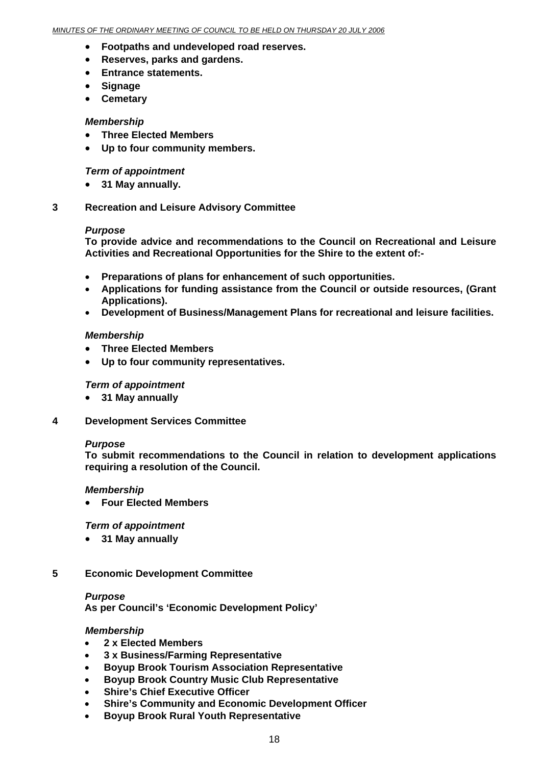- **Footpaths and undeveloped road reserves.**
- **Reserves, parks and gardens.**
- **Entrance statements.**
- **Signage**
- **Cemetary**

# *Membership*

- **Three Elected Members**
- **Up to four community members.**

# *Term of appointment*

- **31 May annually.**
- **3 Recreation and Leisure Advisory Committee**

# *Purpose*

**To provide advice and recommendations to the Council on Recreational and Leisure Activities and Recreational Opportunities for the Shire to the extent of:-** 

- **Preparations of plans for enhancement of such opportunities.**
- **Applications for funding assistance from the Council or outside resources, (Grant Applications).**
- **Development of Business/Management Plans for recreational and leisure facilities.**

# *Membership*

- **Three Elected Members**
- **Up to four community representatives.**

# *Term of appointment*

- **31 May annually**
- **4 Development Services Committee**

# *Purpose*

**To submit recommendations to the Council in relation to development applications requiring a resolution of the Council.** 

# *Membership*

• **Four Elected Members**

# *Term of appointment*

• **31 May annually**

# **5 Economic Development Committee**

# *Purpose*

**As per Council's 'Economic Development Policy'**

# *Membership*

- **2 x Elected Members**
- **3 x Business/Farming Representative**
- **Boyup Brook Tourism Association Representative**
- **Boyup Brook Country Music Club Representative**
- **Shire's Chief Executive Officer**
- **Shire's Community and Economic Development Officer**
- **Boyup Brook Rural Youth Representative**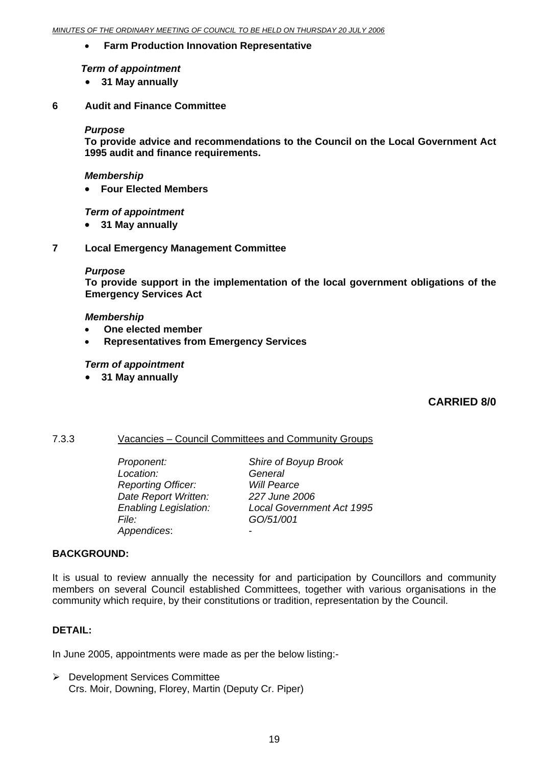# <span id="page-18-0"></span>• **Farm Production Innovation Representative**

# *Term of appointment*

- **31 May annually**
- **6 Audit and Finance Committee**

# *Purpose*

**To provide advice and recommendations to the Council on the Local Government Act 1995 audit and finance requirements.** 

# *Membership*

• **Four Elected Members**

# *Term of appointment*

- **31 May annually**
- **7 Local Emergency Management Committee**

# *Purpose*

**To provide support in the implementation of the local government obligations of the Emergency Services Act** 

# *Membership*

- **One elected member**
- **Representatives from Emergency Services**

# *Term of appointment*

• **31 May annually**

# **CARRIED 8/0**

# 7.3.3 Vacancies – Council Committees and Community Groups

*Location: Reporting Officer: Will Pearce Date Report Written: 227 June 2006 File: GO/51/001 Appendices*: -

 *Proponent: Shire of Boyup Brook Enabling Legislation: Local Government Act 1995* 

# **BACKGROUND:**

It is usual to review annually the necessity for and participation by Councillors and community members on several Council established Committees, together with various organisations in the community which require, by their constitutions or tradition, representation by the Council.

# **DETAIL:**

In June 2005, appointments were made as per the below listing:-

¾ Development Services Committee Crs. Moir, Downing, Florey, Martin (Deputy Cr. Piper)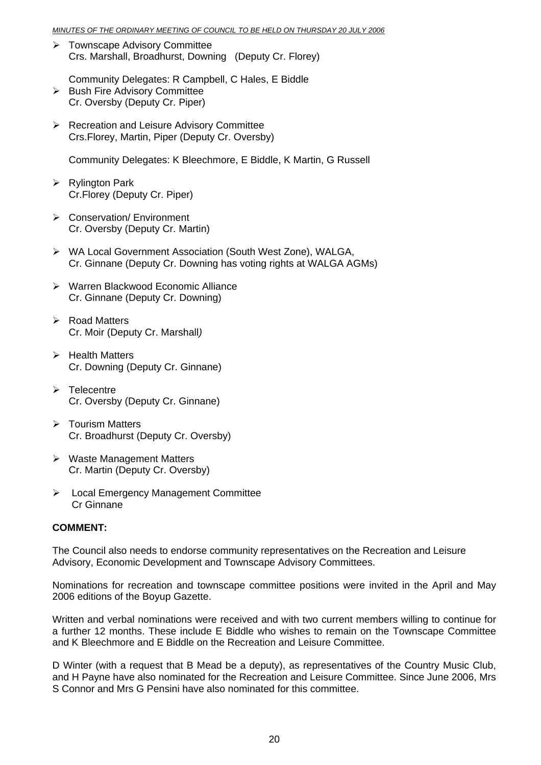- ¾ Townscape Advisory Committee Crs. Marshall, Broadhurst, Downing (Deputy Cr. Florey)
- Community Delegates: R Campbell, C Hales, E Biddle ¾ Bush Fire Advisory Committee Cr. Oversby (Deputy Cr. Piper)
- ¾ Recreation and Leisure Advisory Committee Crs.Florey, Martin, Piper (Deputy Cr. Oversby)

Community Delegates: K Bleechmore, E Biddle, K Martin, G Russell

- $\triangleright$  Rylington Park Cr.Florey (Deputy Cr. Piper)
- ¾ Conservation/ Environment Cr. Oversby (Deputy Cr. Martin)
- ¾ WA Local Government Association (South West Zone), WALGA, Cr. Ginnane (Deputy Cr. Downing has voting rights at WALGA AGMs)
- ¾ Warren Blackwood Economic Alliance Cr. Ginnane (Deputy Cr. Downing)
- $\triangleright$  Road Matters Cr. Moir (Deputy Cr. Marshall*)*
- $\triangleright$  Health Matters Cr. Downing (Deputy Cr. Ginnane)
- $\triangleright$  Telecentre Cr. Oversby (Deputy Cr. Ginnane)
- $\triangleright$  Tourism Matters Cr. Broadhurst (Deputy Cr. Oversby)
- $\triangleright$  Waste Management Matters Cr. Martin (Deputy Cr. Oversby)
- ¾ Local Emergency Management Committee Cr Ginnane

# **COMMENT:**

The Council also needs to endorse community representatives on the Recreation and Leisure Advisory, Economic Development and Townscape Advisory Committees.

Nominations for recreation and townscape committee positions were invited in the April and May 2006 editions of the Boyup Gazette.

Written and verbal nominations were received and with two current members willing to continue for a further 12 months. These include E Biddle who wishes to remain on the Townscape Committee and K Bleechmore and E Biddle on the Recreation and Leisure Committee.

D Winter (with a request that B Mead be a deputy), as representatives of the Country Music Club, and H Payne have also nominated for the Recreation and Leisure Committee. Since June 2006, Mrs S Connor and Mrs G Pensini have also nominated for this committee.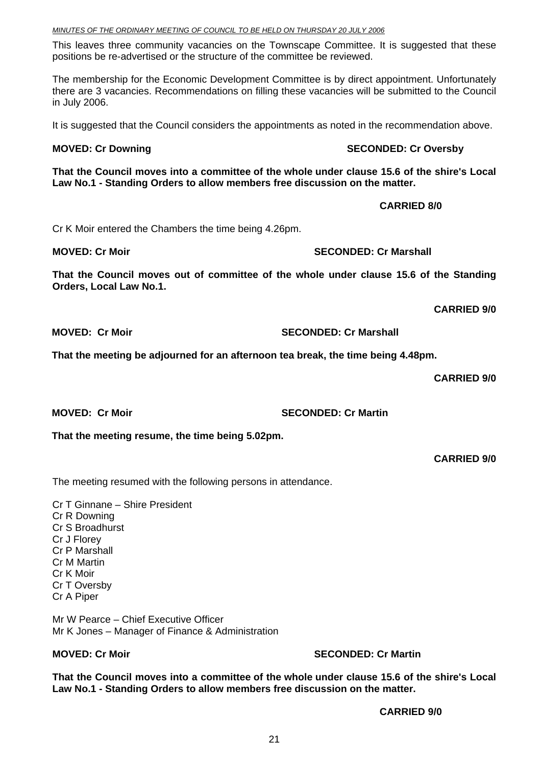### *MINUTES OF THE ORDINARY MEETING OF COUNCIL TO BE HELD ON THURSDAY 20 JULY 2006*

This leaves three community vacancies on the Townscape Committee. It is suggested that these positions be re-advertised or the structure of the committee be reviewed.

The membership for the Economic Development Committee is by direct appointment. Unfortunately there are 3 vacancies. Recommendations on filling these vacancies will be submitted to the Council in July 2006.

It is suggested that the Council considers the appointments as noted in the recommendation above.

### **MOVED: Cr Downing SECONDED: Cr Oversby**

**That the Council moves into a committee of the whole under clause 15.6 of the shire's Local Law No.1 - Standing Orders to allow members free discussion on the matter.** 

Cr K Moir entered the Chambers the time being 4.26pm.

**MOVED: Cr Moir SECONDED: Cr Marshall SECONDED: Cr Marshall** 

**That the Council moves out of committee of the whole under clause 15.6 of the Standing Orders, Local Law No.1.** 

**CARRIED 9/0** 

**MOVED: Cr Moir SECONDED: Cr Marshall** 

**That the meeting be adjourned for an afternoon tea break, the time being 4.48pm.** 

**CARRIED 9/0** 

**MOVED: Cr Moir** SECONDED: Cr Martin

**That the meeting resume, the time being 5.02pm.** 

**CARRIED 9/0** 

The meeting resumed with the following persons in attendance.

Cr T Ginnane – Shire President Cr R Downing Cr S Broadhurst Cr J Florey Cr P Marshall Cr M Martin Cr K Moir Cr T Oversby Cr A Piper

Mr W Pearce – Chief Executive Officer Mr K Jones – Manager of Finance & Administration

# **MOVED: Cr Moir** SECONDED: Cr Martin

**That the Council moves into a committee of the whole under clause 15.6 of the shire's Local Law No.1 - Standing Orders to allow members free discussion on the matter.** 

 **CARRIED 9/0** 

 **CARRIED 8/0**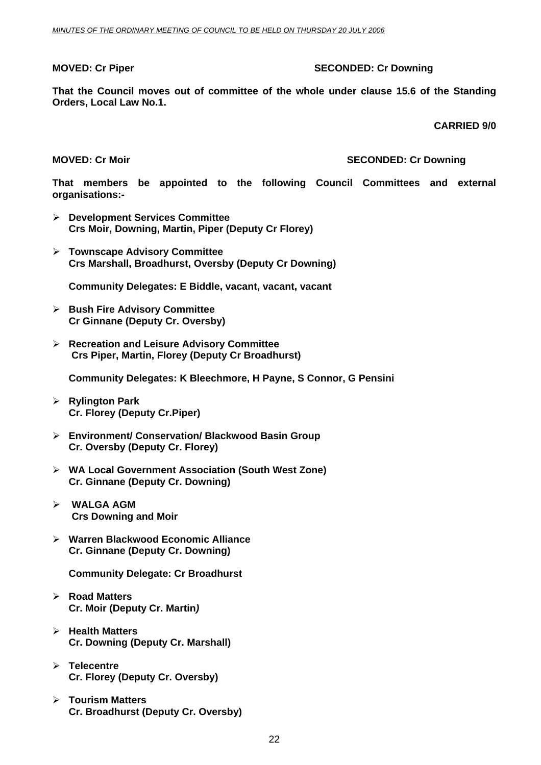# **MOVED: Cr Piper SECONDED: Cr Downing COVED: Cr Downing 3.5 SECONDED: Cr Downing 3.5 SECONDED: Cr Downing 3.5 SECONDED: Cr Downing 3.5 SECONDED: Cr Downing 3.5 SECONDED: Cr Downing 3.5 SECONDED: Cr Downing 3.5 SECONDED: Cr**

**That the Council moves out of committee of the whole under clause 15.6 of the Standing Orders, Local Law No.1.** 

**CARRIED 9/0** 

### **MOVED: Cr Moir MOVED: Cr Downing MOVED: Cr Downing SECONDED: Cr Downing**

**That members be appointed to the following Council Committees and external organisations:-** 

- ¾ **Development Services Committee Crs Moir, Downing, Martin, Piper (Deputy Cr Florey)**
- ¾ **Townscape Advisory Committee Crs Marshall, Broadhurst, Oversby (Deputy Cr Downing)**

**Community Delegates: E Biddle, vacant, vacant, vacant** 

- ¾ **Bush Fire Advisory Committee Cr Ginnane (Deputy Cr. Oversby)**
- ¾ **Recreation and Leisure Advisory Committee Crs Piper, Martin, Florey (Deputy Cr Broadhurst)**

**Community Delegates: K Bleechmore, H Payne, S Connor, G Pensini**

- ¾ **Rylington Park Cr. Florey (Deputy Cr.Piper)**
- ¾ **Environment/ Conservation/ Blackwood Basin Group Cr. Oversby (Deputy Cr. Florey)**
- ¾ **WA Local Government Association (South West Zone) Cr. Ginnane (Deputy Cr. Downing)**
- ¾ **WALGA AGM Crs Downing and Moir**
- ¾ **Warren Blackwood Economic Alliance Cr. Ginnane (Deputy Cr. Downing)**

**Community Delegate: Cr Broadhurst** 

- ¾ **Road Matters Cr. Moir (Deputy Cr. Martin***)*
- ¾ **Health Matters Cr. Downing (Deputy Cr. Marshall)**
- ¾ **Telecentre Cr. Florey (Deputy Cr. Oversby)**
- ¾ **Tourism Matters Cr. Broadhurst (Deputy Cr. Oversby)**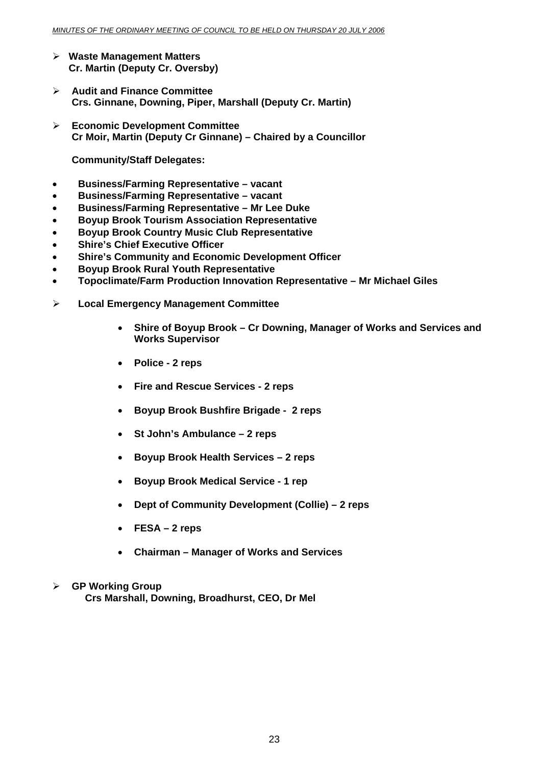- ¾ **Waste Management Matters Cr. Martin (Deputy Cr. Oversby)**
- ¾ **Audit and Finance Committee Crs. Ginnane, Downing, Piper, Marshall (Deputy Cr. Martin)**
- ¾ **Economic Development Committee Cr Moir, Martin (Deputy Cr Ginnane) – Chaired by a Councillor**

**Community/Staff Delegates:** 

- **Business/Farming Representative vacant**
- **Business/Farming Representative vacant**
- **Business/Farming Representative Mr Lee Duke**
- **Boyup Brook Tourism Association Representative**
- **Boyup Brook Country Music Club Representative**
- **Shire's Chief Executive Officer**
- **Shire's Community and Economic Development Officer**
- **Boyup Brook Rural Youth Representative**
- **Topoclimate/Farm Production Innovation Representative Mr Michael Giles**
- ¾ **Local Emergency Management Committee** 
	- **Shire of Boyup Brook Cr Downing, Manager of Works and Services and Works Supervisor**
	- **Police 2 reps**
	- **Fire and Rescue Services 2 reps**
	- **Boyup Brook Bushfire Brigade 2 reps**
	- **St John's Ambulance 2 reps**
	- **Boyup Brook Health Services 2 reps**
	- **Boyup Brook Medical Service 1 rep**
	- **Dept of Community Development (Collie) 2 reps**
	- **FESA 2 reps**
	- **Chairman Manager of Works and Services**
- ¾ **GP Working Group Crs Marshall, Downing, Broadhurst, CEO, Dr Mel**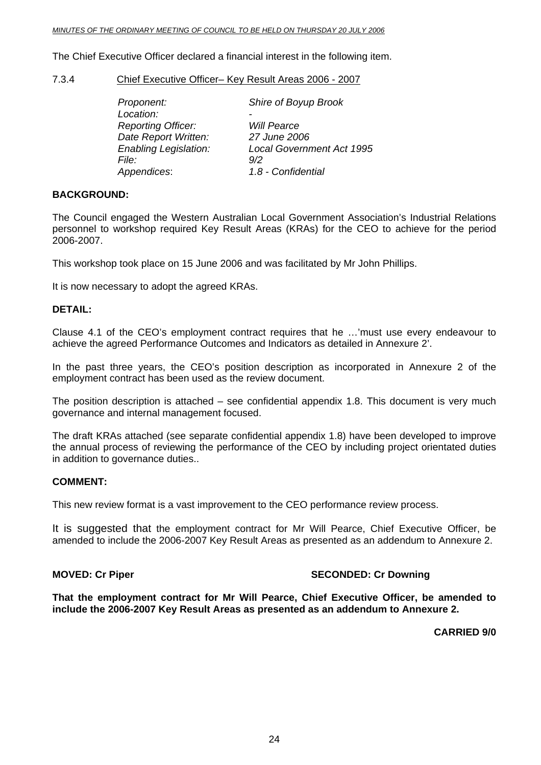### <span id="page-23-0"></span>*MINUTES OF THE ORDINARY MEETING OF COUNCIL TO BE HELD ON THURSDAY 20 JULY 2006*

The Chief Executive Officer declared a financial interest in the following item.

7.3.4 Chief Executive Officer– Key Result Areas 2006 - 2007

| Proponent:                   | Shire of Boyup Brook             |
|------------------------------|----------------------------------|
| Location:                    |                                  |
| <b>Reporting Officer:</b>    | <b>Will Pearce</b>               |
| Date Report Written:         | 27 June 2006                     |
| <b>Enabling Legislation:</b> | <b>Local Government Act 1995</b> |
| File:                        | 9/2                              |
| Appendices:                  | 1.8 - Confidential               |

# **BACKGROUND:**

The Council engaged the Western Australian Local Government Association's Industrial Relations personnel to workshop required Key Result Areas (KRAs) for the CEO to achieve for the period 2006-2007.

This workshop took place on 15 June 2006 and was facilitated by Mr John Phillips.

It is now necessary to adopt the agreed KRAs.

# **DETAIL:**

Clause 4.1 of the CEO's employment contract requires that he …'must use every endeavour to achieve the agreed Performance Outcomes and Indicators as detailed in Annexure 2'.

In the past three years, the CEO's position description as incorporated in Annexure 2 of the employment contract has been used as the review document.

The position description is attached – see confidential appendix 1.8. This document is very much governance and internal management focused.

The draft KRAs attached (see separate confidential appendix 1.8) have been developed to improve the annual process of reviewing the performance of the CEO by including project orientated duties in addition to governance duties..

# **COMMENT:**

This new review format is a vast improvement to the CEO performance review process.

It is suggested that the employment contract for Mr Will Pearce, Chief Executive Officer, be amended to include the 2006-2007 Key Result Areas as presented as an addendum to Annexure 2.

# **MOVED: Cr Piper SECONDED: Cr Downing ATTLE SECONDED: Cr Downing**

**That the employment contract for Mr Will Pearce, Chief Executive Officer, be amended to include the 2006-2007 Key Result Areas as presented as an addendum to Annexure 2.** 

**CARRIED 9/0**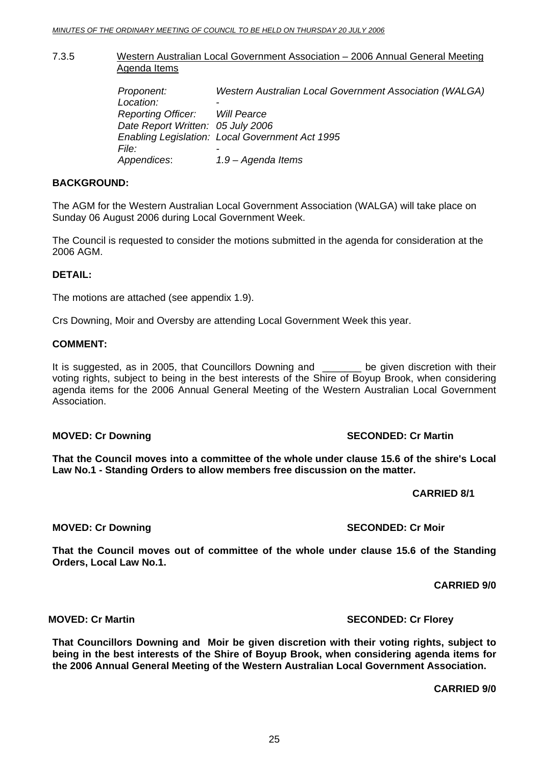# <span id="page-24-0"></span>7.3.5 Western Australian Local Government Association – 2006 Annual General Meeting Agenda Items

| Proponent:<br>Location:<br>Reporting Officer: Will Pearce<br>Date Report Written: 05 July 2006 | <b>Western Australian Local Government Association (WALGA)</b><br>-<br>Enabling Legislation: Local Government Act 1995 |
|------------------------------------------------------------------------------------------------|------------------------------------------------------------------------------------------------------------------------|
| <i>File:</i><br>Appendices:                                                                    | $\overline{\phantom{0}}$<br>1.9 – Agenda Items                                                                         |

# **BACKGROUND:**

The AGM for the Western Australian Local Government Association (WALGA) will take place on Sunday 06 August 2006 during Local Government Week.

The Council is requested to consider the motions submitted in the agenda for consideration at the 2006 AGM.

# **DETAIL:**

The motions are attached (see appendix 1.9).

Crs Downing, Moir and Oversby are attending Local Government Week this year.

# **COMMENT:**

It is suggested, as in 2005, that Councillors Downing and \_\_\_\_\_\_ be given discretion with their voting rights, subject to being in the best interests of the Shire of Boyup Brook, when considering agenda items for the 2006 Annual General Meeting of the Western Australian Local Government Association.

# **MOVED: Cr Downing Canadian Control of SECONDED: Cr Martin**

**That the Council moves into a committee of the whole under clause 15.6 of the shire's Local Law No.1 - Standing Orders to allow members free discussion on the matter.** 

 **CARRIED 8/1** 

# **MOVED: Cr Downing SECONDED: Cr Moir**

**That the Council moves out of committee of the whole under clause 15.6 of the Standing Orders, Local Law No.1.** 

**CARRIED 9/0** 

**That Councillors Downing and Moir be given discretion with their voting rights, subject to being in the best interests of the Shire of Boyup Brook, when considering agenda items for the 2006 Annual General Meeting of the Western Australian Local Government Association.** 

**CARRIED 9/0** 

**MOVED:** Cr Martin  $\blacksquare$  **SECONDED:** Cr Florey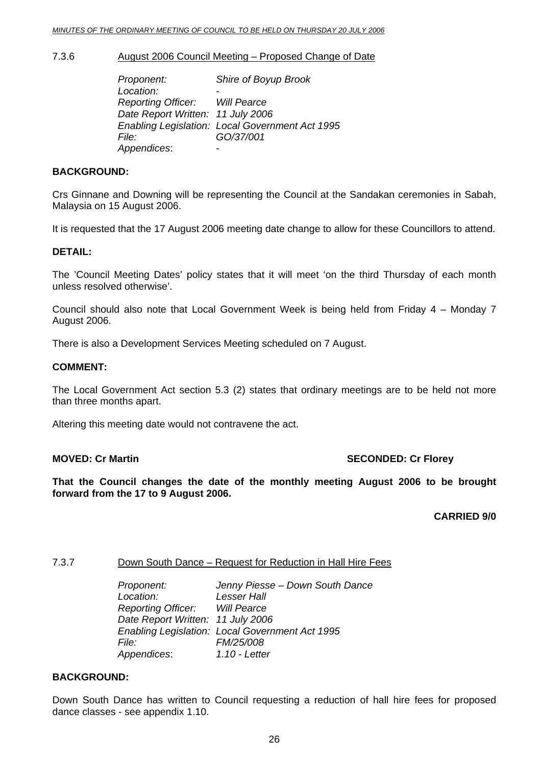# <span id="page-25-0"></span>7.3.6 August 2006 Council Meeting – Proposed Change of Date

 *Proponent: Shire of Boyup Brook*  Location:  *Reporting Officer: Will Pearce Date Report Written: 11 July 2006 Enabling Legislation: Local Government Act 1995 File: GO/37/001 Appendices*: -

# **BACKGROUND:**

Crs Ginnane and Downing will be representing the Council at the Sandakan ceremonies in Sabah, Malaysia on 15 August 2006.

It is requested that the 17 August 2006 meeting date change to allow for these Councillors to attend.

# **DETAIL:**

The 'Council Meeting Dates' policy states that it will meet 'on the third Thursday of each month unless resolved otherwise'.

Council should also note that Local Government Week is being held from Friday 4 – Monday 7 August 2006.

There is also a Development Services Meeting scheduled on 7 August.

# **COMMENT:**

The Local Government Act section 5.3 (2) states that ordinary meetings are to be held not more than three months apart.

Altering this meeting date would not contravene the act.

# **MOVED: Cr Martin SECONDED: Cr Florey**

**That the Council changes the date of the monthly meeting August 2006 to be brought forward from the 17 to 9 August 2006.** 

# **CARRIED 9/0**

# 7.3.7 Down South Dance – Request for Reduction in Hall Hire Fees

 *Proponent: Jenny Piesse – Down South Dance Location: Lesser Hall Reporting Officer: Will Pearce Date Report Written: 11 July 2006 Enabling Legislation: Local Government Act 1995 File: FM/25/008 Appendices*: *1.10 - Letter*

# **BACKGROUND:**

Down South Dance has written to Council requesting a reduction of hall hire fees for proposed dance classes - see appendix 1.10.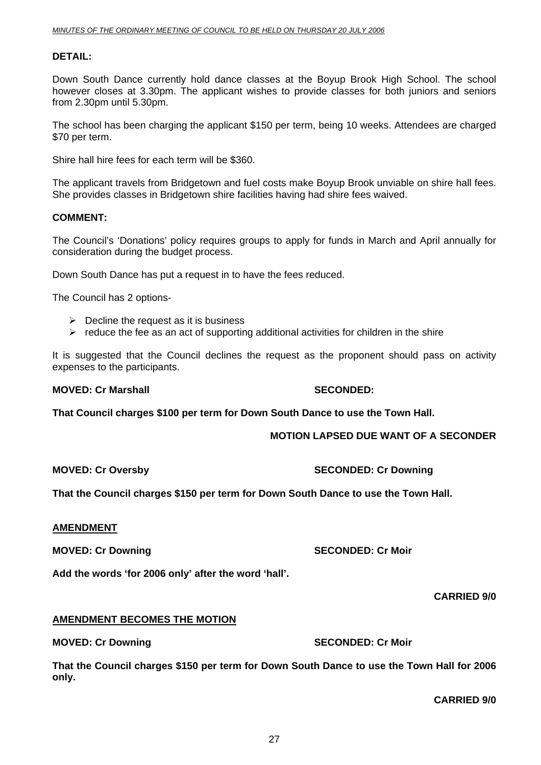# **DETAIL:**

Down South Dance currently hold dance classes at the Boyup Brook High School. The school however closes at 3.30pm. The applicant wishes to provide classes for both juniors and seniors from 2.30pm until 5.30pm.

The school has been charging the applicant \$150 per term, being 10 weeks. Attendees are charged \$70 per term.

Shire hall hire fees for each term will be \$360.

The applicant travels from Bridgetown and fuel costs make Boyup Brook unviable on shire hall fees. She provides classes in Bridgetown shire facilities having had shire fees waived.

### **COMMENT:**

The Council's 'Donations' policy requires groups to apply for funds in March and April annually for consideration during the budget process.

Down South Dance has put a request in to have the fees reduced.

The Council has 2 options-

- $\triangleright$  Decline the request as it is business
- $\triangleright$  reduce the fee as an act of supporting additional activities for children in the shire

It is suggested that the Council declines the request as the proponent should pass on activity expenses to the participants.

# **MOVED: Cr Marshall SECONDED:**

**That Council charges \$100 per term for Down South Dance to use the Town Hall.** 

# **MOTION LAPSED DUE WANT OF A SECONDER**

**MOVED: Cr Oversby SECONDED: Cr Downing SECONDED: Cr Downing** 

**That the Council charges \$150 per term for Down South Dance to use the Town Hall.** 

### **AMENDMENT**

**MOVED: Cr Downing Case Conducts Account SECONDED: Cr Moir** 

**Add the words 'for 2006 only' after the word 'hall'.** 

**CARRIED 9/0** 

# **AMENDMENT BECOMES THE MOTION**

# **MOVED: Cr Downing Case Conducts Account SECONDED: Cr Moir**

**That the Council charges \$150 per term for Down South Dance to use the Town Hall for 2006 only.**

**CARRIED 9/0**